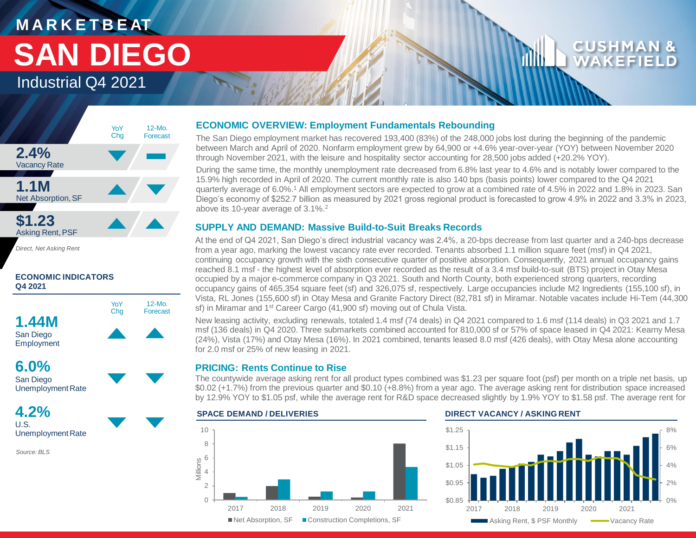# **M A R K E T B E AT SAN DIEGO**

### Industrial Q4 2021



*Direct, Net Asking Rent*

### **ECONOMIC INDICATORS Q4 2021**



San Diego Unemployment Rate

**4.2%** U.S. Unemployment Rate

*Source: BLS*

### **ECONOMIC OVERVIEW: Employment Fundamentals Rebounding**

The San Diego employment market has recovered 193,400 (83%) of the 248,000 jobs lost during the beginning of the pandemic between March and April of 2020. Nonfarm employment grew by 64,900 or +4.6% year-over-year (YOY) between November 2020 through November 2021, with the leisure and hospitality sector accounting for 28,500 jobs added (+20.2% YOY).

During the same time, the monthly unemployment rate decreased from 6.8% last year to 4.6% and is notably lower compared to the 15.9% high recorded in April of 2020. The current monthly rate is also 140 bps (basis points) lower compared to the Q4 2021 quarterly average of 6.0%.<sup>1</sup> All employment sectors are expected to grow at a combined rate of 4.5% in 2022 and 1.8% in 2023. San Diego's economy of \$252.7 billion as measured by 2021 gross regional product is forecasted to grow 4.9% in 2022 and 3.3% in 2023, above its 10-year average of 3.1%.<sup>2</sup>

### **SUPPLY AND DEMAND: Massive Build-to-Suit Breaks Records**

At the end of Q4 2021, San Diego's direct industrial vacancy was 2.4%, a 20-bps decrease from last quarter and a 240-bps decrease from a year ago, marking the lowest vacancy rate ever recorded. Tenants absorbed 1.1 million square feet (msf) in Q4 2021, continuing occupancy growth with the sixth consecutive quarter of positive absorption. Consequently, 2021 annual occupancy gains reached 8.1 msf - the highest level of absorption ever recorded as the result of a 3.4 msf build-to-suit (BTS) project in Otay Mesa occupied by a major e-commerce company in Q3 2021. South and North County, both experienced strong quarters, recording occupancy gains of 465,354 square feet (sf) and 326,075 sf, respectively. Large occupancies include M2 Ingredients (155,100 sf), in Vista, RL Jones (155,600 sf) in Otay Mesa and Granite Factory Direct (82,781 sf) in Miramar. Notable vacates include Hi-Tem (44,300 sf) in Miramar and 1<sup>st</sup> Career Cargo (41,900 sf) moving out of Chula Vista.

New leasing activity, excluding renewals, totaled 1.4 msf (74 deals) in Q4 2021 compared to 1.6 msf (114 deals) in Q3 2021 and 1.7 msf (136 deals) in Q4 2020. Three submarkets combined accounted for 810,000 sf or 57% of space leased in Q4 2021: Kearny Mesa (24%), Vista (17%) and Otay Mesa (16%). In 2021 combined, tenants leased 8.0 msf (426 deals), with Otay Mesa alone accounting for 2.0 msf or 25% of new leasing in 2021.

### **PRICING: Rents Continue to Rise**

The countywide average asking rent for all product types combined was \$1.23 per square foot (psf) per month on a triple net basis, up \$0.02 (+1.7%) from the previous quarter and \$0.10 (+8.8%) from a year ago. The average asking rent for distribution space increased by 12.9% YOY to \$1.05 psf, while the average rent for R&D space decreased slightly by 1.9% YOY to \$1.58 psf. The average rent for

### $\Omega$ 2 4 Millions<br>4<br>4 8 10 2017 2018 2019 2020 2021 ■ Net Absorption, SF ■ Construction Completions, SF

### **SPACE DEMAND / DELIVERIES DIRECT VACANCY / ASKING RENT**

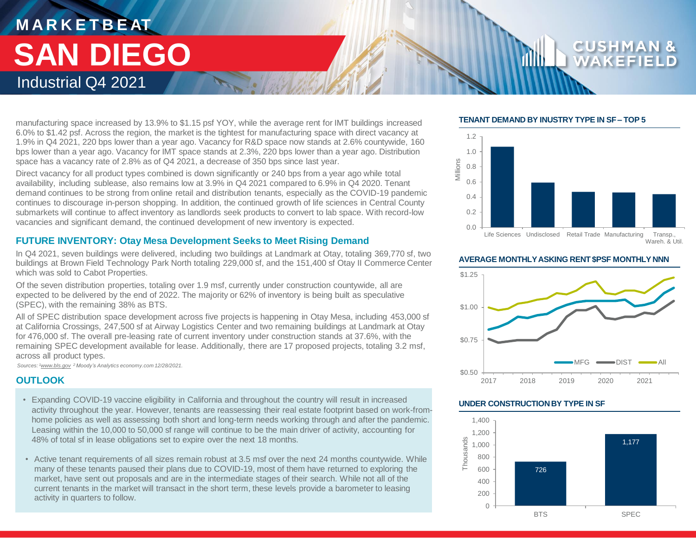### **M A R K E T B E AT** Industrial Q4 2021 **SAN DIEGO**

### manufacturing space increased by 13.9% to \$1.15 psf YOY, while the average rent for IMT buildings increased 6.0% to \$1.42 psf. Across the region, the market is the tightest for manufacturing space with direct vacancy at 1.9% in Q4 2021, 220 bps lower than a year ago. Vacancy for R&D space now stands at 2.6% countywide, 160 bps lower than a year ago. Vacancy for IMT space stands at 2.3%, 220 bps lower than a year ago. Distribution space has a vacancy rate of 2.8% as of Q4 2021, a decrease of 350 bps since last year.

Direct vacancy for all product types combined is down significantly or 240 bps from a year ago while total availability, including sublease, also remains low at 3.9% in Q4 2021 compared to 6.9% in Q4 2020. Tenant demand continues to be strong from online retail and distribution tenants, especially as the COVID-19 pandemic continues to discourage in-person shopping. In addition, the continued growth of life sciences in Central County submarkets will continue to affect inventory as landlords seek products to convert to lab space. With record-low vacancies and significant demand, the continued development of new inventory is expected.

### **FUTURE INVENTORY: Otay Mesa Development Seeks to Meet Rising Demand**

In Q4 2021, seven buildings were delivered, including two buildings at Landmark at Otay, totaling 369,770 sf, two buildings at Brown Field Technology Park North totaling 229,000 sf, and the 151,400 sf Otay II Commerce Center which was sold to Cabot Properties.

Of the seven distribution properties, totaling over 1.9 msf, currently under construction countywide, all are expected to be delivered by the end of 2022. The majority or 62% of inventory is being built as speculative (SPEC), with the remaining 38% as BTS.

All of SPEC distribution space development across five projects is happening in Otay Mesa, including 453,000 sf at California Crossings, 247,500 sf at Airway Logistics Center and two remaining buildings at Landmark at Otay for 476,000 sf. The overall pre-leasing rate of current inventory under construction stands at 37.6%, with the remaining SPEC development available for lease. Additionally, there are 17 proposed projects, totaling 3.2 msf, across all product types.

*Sources: <sup>1</sup>www.bls.gov <sup>2</sup>Moody's Analytics economy.com 12/28/2021.* 

### **OUTLOOK**

- Expanding COVID-19 vaccine eligibility in California and throughout the country will result in increased activity throughout the year. However, tenants are reassessing their real estate footprint based on work-fromhome policies as well as assessing both short and long-term needs working through and after the pandemic. Leasing within the 10,000 to 50,000 sf range will continue to be the main driver of activity, accounting for 48% of total sf in lease obligations set to expire over the next 18 months.
- Active tenant requirements of all sizes remain robust at 3.5 msf over the next 24 months countywide. While many of these tenants paused their plans due to COVID-19, most of them have returned to exploring the market, have sent out proposals and are in the intermediate stages of their search. While not all of the current tenants in the market will transact in the short term, these levels provide a barometer to leasing activity in quarters to follow.

### **TENANT DEMAND BY INUSTRY TYPE IN SF – TOP 5**



**AVERAGE MONTHLY ASKING RENT \$PSF MONTHLY NNN**



### **UNDER CONSTRUCTION BY TYPE IN SF**

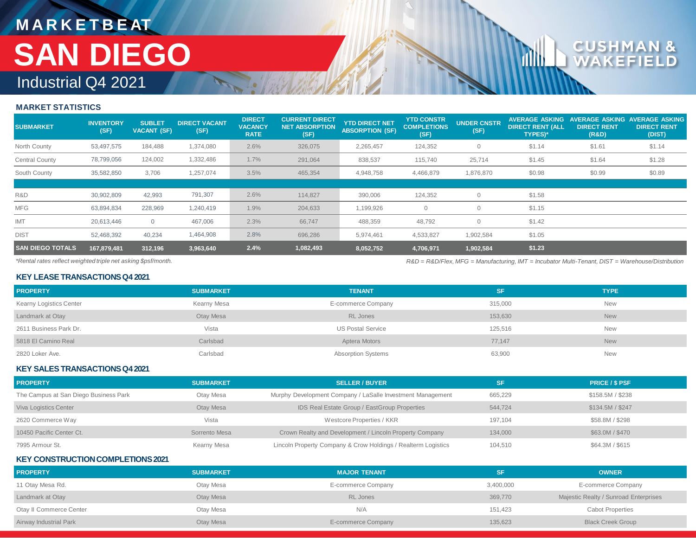## **M A R K E T B E AT** Industrial Q4 2021 **SAN DIEGO**

### **MARKET STATISTICS**

| <b>SUBMARKET</b>        | <b>INVENTORY</b><br>(SF) | <b>SUBLET</b><br><b>VACANT (SF)</b> | <b>DIRECT VACANT</b><br>(SF) | <b>DIRECT</b><br><b>VACANCY</b><br><b>RATE</b> | <b>CURRENT DIRECT</b><br><b>NET ABSORPTION</b><br>(SF) | <b>YTD DIRECT NET</b><br><b>ABSORPTION (SF)</b> | <b>YTD CONSTR</b><br><b>COMPLETIONS</b><br>(SF) | <b>UNDER CNSTR</b><br>(SF) | <b>AVERAGE ASKING</b><br><b>DIRECT RENT (ALL</b><br><b>TYPES)*</b> | <b>NVERAGE ASKING</b><br><b>DIRECT RENT</b><br>(R&D) | <b>VERAGE ASKING</b><br><b>DIRECT RENT</b><br>(DIST) |
|-------------------------|--------------------------|-------------------------------------|------------------------------|------------------------------------------------|--------------------------------------------------------|-------------------------------------------------|-------------------------------------------------|----------------------------|--------------------------------------------------------------------|------------------------------------------------------|------------------------------------------------------|
| North County            | 53,497,575               | 184,488                             | 1,374,080                    | 2.6%                                           | 326,075                                                | 2,265,457                                       | 124,352                                         | $\circ$                    | \$1.14                                                             | \$1.61                                               | \$1.14                                               |
| Central County          | 78,799,056               | 124,002                             | 1,332,486                    | 1.7%                                           | 291,064                                                | 838,537                                         | 115,740                                         | 25,714                     | \$1.45                                                             | \$1.64                                               | \$1.28                                               |
| South County            | 35,582,850               | 3,706                               | 1,257,074                    | 3.5%                                           | 465,354                                                | 4,948,758                                       | 4,466,879                                       | 1,876,870                  | \$0.98                                                             | \$0.99                                               | \$0.89                                               |
|                         |                          |                                     |                              |                                                |                                                        |                                                 |                                                 |                            |                                                                    |                                                      |                                                      |
| R&D                     | 30,902,809               | 42,993                              | 791,307                      | 2.6%                                           | 114,827                                                | 390,006                                         | 124,352                                         | $\Omega$                   | \$1.58                                                             |                                                      |                                                      |
| <b>MFG</b>              | 63,894,834               | 228,969                             | 1,240,419                    | 1.9%                                           | 204,633                                                | 1,199,926                                       | 0                                               | $\Omega$                   | \$1.15                                                             |                                                      |                                                      |
| <b>IMT</b>              | 20,613,446               | $\overline{0}$                      | 467,006                      | 2.3%                                           | 66,747                                                 | 488,359                                         | 48,792                                          | $\Omega$                   | \$1.42                                                             |                                                      |                                                      |
| <b>DIST</b>             | 52,468,392               | 40,234                              | 1,464,908                    | 2.8%                                           | 696,286                                                | 5,974,461                                       | 4,533,827                                       | 1,902,584                  | \$1.05                                                             |                                                      |                                                      |
| <b>SAN DIEGO TOTALS</b> | 167,879,481              | 312,196                             | 3,963,640                    | 2.4%                                           | 1,082,493                                              | 8,052,752                                       | 4,706,971                                       | 1,902,584                  | \$1.23                                                             |                                                      |                                                      |

*\*Rental rates reflect weighted triple net asking \$psf/month.* 

*R&D = R&D/Flex, MFG = Manufacturing, IMT = Incubator Multi-Tenant, DIST = Warehouse/Distribution*

### **KEY LEASE TRANSACTIONS Q4 2021**

| <b>PROPERTY</b>         | <b>SUBMARKET</b> | <b>TENANT</b>             | SF.     | <b>TYPE</b> |
|-------------------------|------------------|---------------------------|---------|-------------|
| Kearny Logistics Center | Kearny Mesa      | E-commerce Company        | 315,000 | <b>New</b>  |
| Landmark at Otay        | Otay Mesa        | <b>RL Jones</b>           | 153,630 | <b>New</b>  |
| 2611 Business Park Dr.  | Vista            | <b>US Postal Service</b>  | 125.516 | <b>New</b>  |
| 5818 El Camino Real     | Carlsbad         | Aptera Motors             | 77,147  | <b>New</b>  |
| 2820 Loker Ave.         | Carlsbad         | <b>Absorption Systems</b> | 63,900  | <b>New</b>  |

### **KEY SALES TRANSACTIONS Q42021**

| <b>PROPERTY</b>                       | <b>SUBMARKET</b> | <b>SELLER / BUYER</b>                                         | <b>SF</b> | <b>PRICE / \$ PSF</b> |
|---------------------------------------|------------------|---------------------------------------------------------------|-----------|-----------------------|
| The Campus at San Diego Business Park | Otay Mesa        | Murphy Development Company / LaSalle Investment Management    | 665,229   | \$158.5M / \$238      |
| Viva Logistics Center                 | Otay Mesa        | IDS Real Estate Group / EastGroup Properties                  | 544.724   | \$134.5M / \$247      |
| 2620 Commerce Way                     | Vista            | Westcore Properties / KKR                                     | 197.104   | \$58.8M / \$298       |
| 10450 Pacific Center Ct.              | Sorrento Mesa    | Crown Realty and Development / Lincoln Property Company       | 134,000   | \$63,0M / \$470       |
| 7995 Armour St.                       | Kearny Mesa      | Lincoln Property Company & Crow Holdings / Realterm Logistics | 104,510   | \$64.3M / \$615       |

### **KEY CONSTRUCTION COMPLETIONS 2021**

| <b>PROPERTY</b>         | <b>SUBMARKET</b> | <b>MAJOR TENANT</b> | <b>SF</b> | <b>OWNER</b>                          |
|-------------------------|------------------|---------------------|-----------|---------------------------------------|
| 11 Otay Mesa Rd.        | Otay Mesa        | E-commerce Company  | 3,400,000 | E-commerce Company                    |
| Landmark at Otay        | Otay Mesa        | <b>RL</b> Jones     | 369,770   | Majestic Realty / Sunroad Enterprises |
| Otay II Commerce Center | Otay Mesa        | N/A                 | 151,423   | <b>Cabot Properties</b>               |
| Airway Industrial Park  | Otay Mesa        | E-commerce Company  | 135,623   | <b>Black Creek Group</b>              |